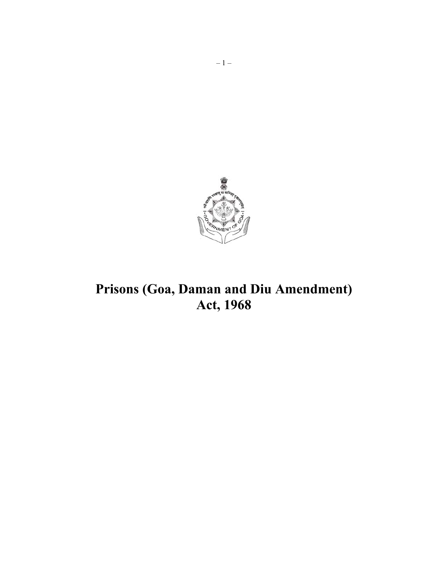

# Prisons (Goa, Daman and Diu Amendment) Act, 1968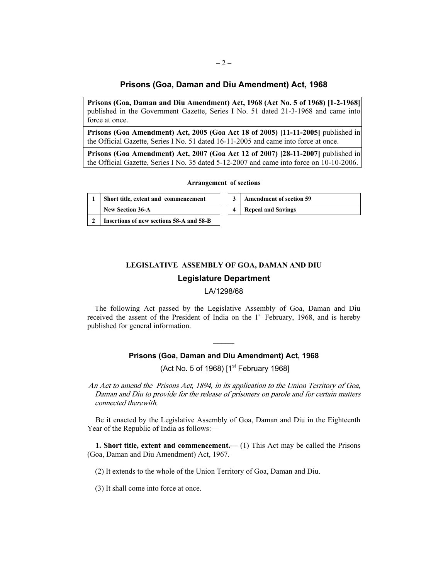## **Prisons (Goa, Daman and Diu Amendment) Act, 1968**

**Prisons (Goa, Daman and Diu Amendment) Act, 1968 (Act No. 5 of 1968) [1-2-1968]** published in the Government Gazette, Series I No. 51 dated 21-3-1968 and came into force at once.

**Prisons (Goa Amendment) Act, 2005 (Goa Act 18 of 2005) [11-11-2005]** published in the Official Gazette, Series I No. 51 dated 16-11-2005 and came into force at once.

**Prisons (Goa Amendment) Act, 2007 (Goa Act 12 of 2007) [28-11-2007]** published in the Official Gazette, Series I No. 35 dated 5-12-2007 and came into force on 10-10-2006.

#### **Arrangement of sections**

| 1 Short title, extent and commencement       |
|----------------------------------------------|
| New Section 36-A                             |
| 2   Insertions of new sections 58-A and 58-B |

| 3   Amendment of section 59 |
|-----------------------------|
| 4 Repeal and Savings        |

## **LEGISLATIVE ASSEMBLY OF GOA, DAMAN AND DIU**

### **Legislature Department**

### LA/1298/68

The following Act passed by the Legislative Assembly of Goa, Daman and Diu received the assent of the President of India on the  $1<sup>st</sup>$  February, 1968, and is hereby published for general information.

## **Prisons (Goa, Daman and Diu Amendment) Act, 1968**

 $\overline{\phantom{a}}$ 

(Act No. 5 of 1968)  $[1<sup>st</sup>$  February 1968]

An Act to amend the Prisons Act, 1894, in its application to the Union Territory of Goa, Daman and Diu to provide for the release of prisoners on parole and for certain matters connected therewith.

Be it enacted by the Legislative Assembly of Goa, Daman and Diu in the Eighteenth Year of the Republic of India as follows:—

**1. Short title, extent and commencement.—** (1) This Act may be called the Prisons (Goa, Daman and Diu Amendment) Act, 1967.

(2) It extends to the whole of the Union Territory of Goa, Daman and Diu.

(3) It shall come into force at once.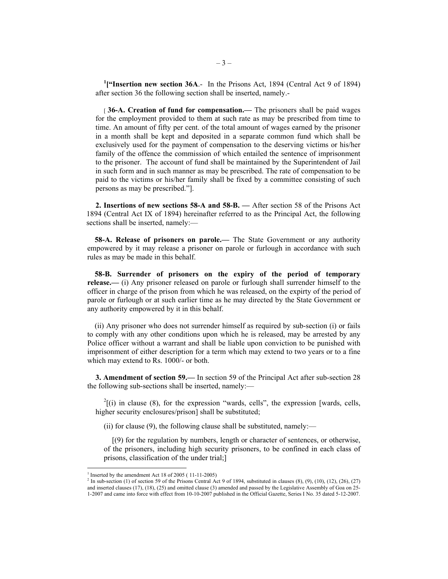<sup>1</sup>["Insertion new section 36A.- In the Prisons Act, 1894 (Central Act 9 of 1894) after section 36 the following section shall be inserted, namely.-

[ **36-A. Creation of fund for compensation.—** The prisoners shall be paid wages for the employment provided to them at such rate as may be prescribed from time to time. An amount of fifty per cent. of the total amount of wages earned by the prisoner in a month shall be kept and deposited in a separate common fund which shall be exclusively used for the payment of compensation to the deserving victims or his/her family of the offence the commission of which entailed the sentence of imprisonment to the prisoner. The account of fund shall be maintained by the Superintendent of Jail in such form and in such manner as may be prescribed. The rate of compensation to be paid to the victims or his/her family shall be fixed by a committee consisting of such persons as may be prescribed."].

**2. Insertions of new sections 58-A and 58-B. —** After section 58 of the Prisons Act 1894 (Central Act IX of 1894) hereinafter referred to as the Principal Act, the following sections shall be inserted, namely:—

**58-A. Release of prisoners on parole.—** The State Government or any authority empowered by it may release a prisoner on parole or furlough in accordance with such rules as may be made in this behalf.

**58-B. Surrender of prisoners on the expiry of the period of temporary release.—** (i) Any prisoner released on parole or furlough shall surrender himself to the officer in charge of the prison from which he was released, on the expirty of the period of parole or furlough or at such earlier time as he may directed by the State Government or any authority empowered by it in this behalf.

(ii) Any prisoner who does not surrender himself as required by sub-section (i) or fails to comply with any other conditions upon which he is released, may be arrested by any Police officer without a warrant and shall be liable upon conviction to be punished with imprisonment of either description for a term which may extend to two years or to a fine which may extend to Rs. 1000/- or both.

**3. Amendment of section 59.—** In section 59 of the Principal Act after sub-section 28 the following sub-sections shall be inserted, namely:—

 $^{2}$ [(i) in clause (8), for the expression "wards, cells", the expression [wards, cells, higher security enclosures/prison] shall be substituted;

(ii) for clause (9), the following clause shall be substituted, namely:—

[(9) for the regulation by numbers, length or character of sentences, or otherwise, of the prisoners, including high security prisoners, to be confined in each class of prisons, classification of the under trial;]

 $\overline{\phantom{a}}$ 

<sup>&</sup>lt;sup>1</sup> Inserted by the amendment Act 18 of 2005 ( $11-11-2005$ )

<sup>&</sup>lt;sup>2</sup> In sub-section (1) of section 59 of the Prisons Central Act 9 of 1894, substituted in clauses (8), (9), (10), (12), (26), (27) and inserted clauses (17), (18), (25) and omitted clause (3) amended and passed by the Legislative Assembly of Goa on 25- 1-2007 and came into force with effect from 10-10-2007 published in the Official Gazette, Series I No. 35 dated 5-12-2007.